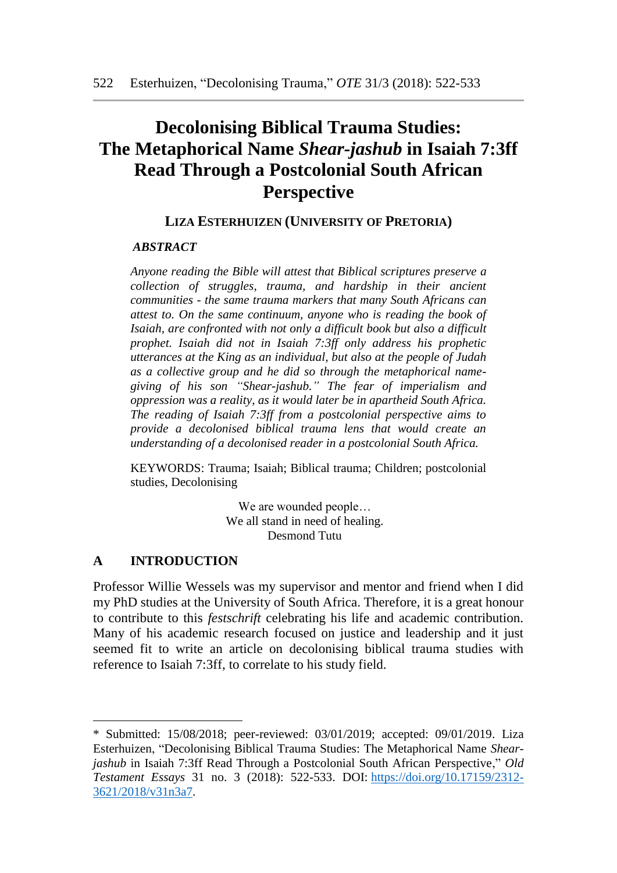# **Decolonising Biblical Trauma Studies: The Metaphorical Name** *Shear-jashub* **in Isaiah 7:3ff Read Through a Postcolonial South African Perspective**

### **LIZA ESTERHUIZEN (UNIVERSITY OF PRETORIA)**

#### *\* ABSTRACT*

*Anyone reading the Bible will attest that Biblical scriptures preserve a collection of struggles, trauma, and hardship in their ancient communities - the same trauma markers that many South Africans can attest to. On the same continuum, anyone who is reading the book of Isaiah, are confronted with not only a difficult book but also a difficult prophet. Isaiah did not in Isaiah 7:3ff only address his prophetic utterances at the King as an individual, but also at the people of Judah as a collective group and he did so through the metaphorical namegiving of his son "Shear-jashub." The fear of imperialism and oppression was a reality, as it would later be in apartheid South Africa. The reading of Isaiah 7:3ff from a postcolonial perspective aims to provide a decolonised biblical trauma lens that would create an understanding of a decolonised reader in a postcolonial South Africa.* 

KEYWORDS: Trauma; Isaiah; Biblical trauma; Children; postcolonial studies, Decolonising

> We are wounded people… We all stand in need of healing. Desmond Tutu

### **A INTRODUCTION**

Professor Willie Wessels was my supervisor and mentor and friend when I did my PhD studies at the University of South Africa. Therefore, it is a great honour to contribute to this *festschrift* celebrating his life and academic contribution. Many of his academic research focused on justice and leadership and it just seemed fit to write an article on decolonising biblical trauma studies with reference to Isaiah 7:3ff, to correlate to his study field.

<sup>\*</sup> Submitted: 15/08/2018; peer-reviewed: 03/01/2019; accepted: 09/01/2019. Liza Esterhuizen, "Decolonising Biblical Trauma Studies: The Metaphorical Name *Shearjashub* in Isaiah 7:3ff Read Through a Postcolonial South African Perspective," *Old Testament Essays* 31 no. 3 (2018): 522-533. DOI: [https://doi.org/10.17159/2312-](https://doi.org/10.17159/2312-3621/2018/v31n3a7) [3621/2018/v31n3a7.](https://doi.org/10.17159/2312-3621/2018/v31n3a7)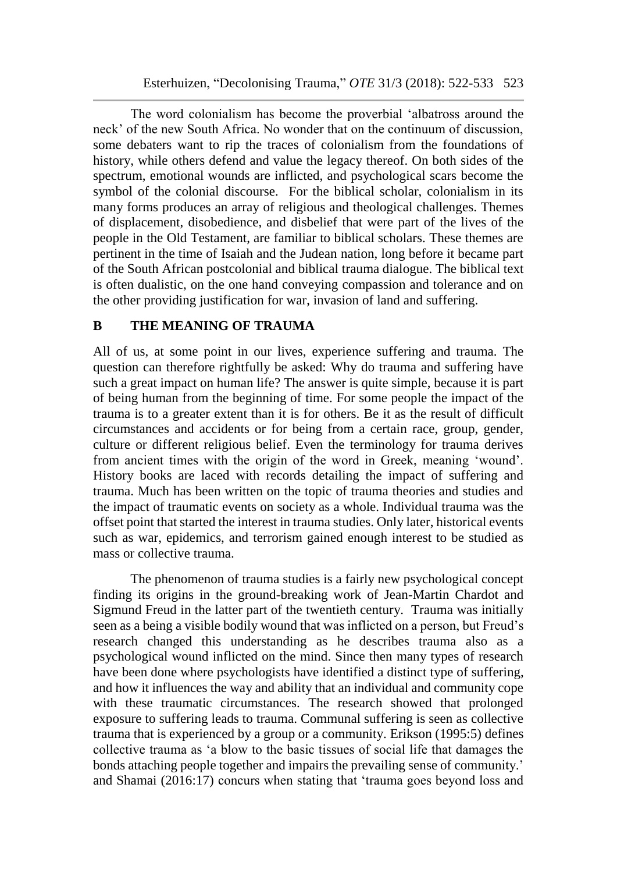The word colonialism has become the proverbial 'albatross around the neck' of the new South Africa. No wonder that on the continuum of discussion, some debaters want to rip the traces of colonialism from the foundations of history, while others defend and value the legacy thereof. On both sides of the spectrum, emotional wounds are inflicted, and psychological scars become the symbol of the colonial discourse. For the biblical scholar, colonialism in its many forms produces an array of religious and theological challenges. Themes of displacement, disobedience, and disbelief that were part of the lives of the people in the Old Testament, are familiar to biblical scholars. These themes are pertinent in the time of Isaiah and the Judean nation, long before it became part of the South African postcolonial and biblical trauma dialogue. The biblical text is often dualistic, on the one hand conveying compassion and tolerance and on the other providing justification for war, invasion of land and suffering.

### **B THE MEANING OF TRAUMA**

All of us, at some point in our lives, experience suffering and trauma. The question can therefore rightfully be asked: Why do trauma and suffering have such a great impact on human life? The answer is quite simple, because it is part of being human from the beginning of time. For some people the impact of the trauma is to a greater extent than it is for others. Be it as the result of difficult circumstances and accidents or for being from a certain race, group, gender, culture or different religious belief. Even the terminology for trauma derives from ancient times with the origin of the word in Greek, meaning 'wound'. History books are laced with records detailing the impact of suffering and trauma. Much has been written on the topic of trauma theories and studies and the impact of traumatic events on society as a whole. Individual trauma was the offset point that started the interest in trauma studies. Only later, historical events such as war, epidemics, and terrorism gained enough interest to be studied as mass or collective trauma.

The phenomenon of trauma studies is a fairly new psychological concept finding its origins in the ground-breaking work of Jean-Martin Chardot and Sigmund Freud in the latter part of the twentieth century. Trauma was initially seen as a being a visible bodily wound that was inflicted on a person, but Freud's research changed this understanding as he describes trauma also as a psychological wound inflicted on the mind. Since then many types of research have been done where psychologists have identified a distinct type of suffering, and how it influences the way and ability that an individual and community cope with these traumatic circumstances. The research showed that prolonged exposure to suffering leads to trauma. Communal suffering is seen as collective trauma that is experienced by a group or a community. Erikson (1995:5) defines collective trauma as 'a blow to the basic tissues of social life that damages the bonds attaching people together and impairs the prevailing sense of community.' and Shamai (2016:17) concurs when stating that 'trauma goes beyond loss and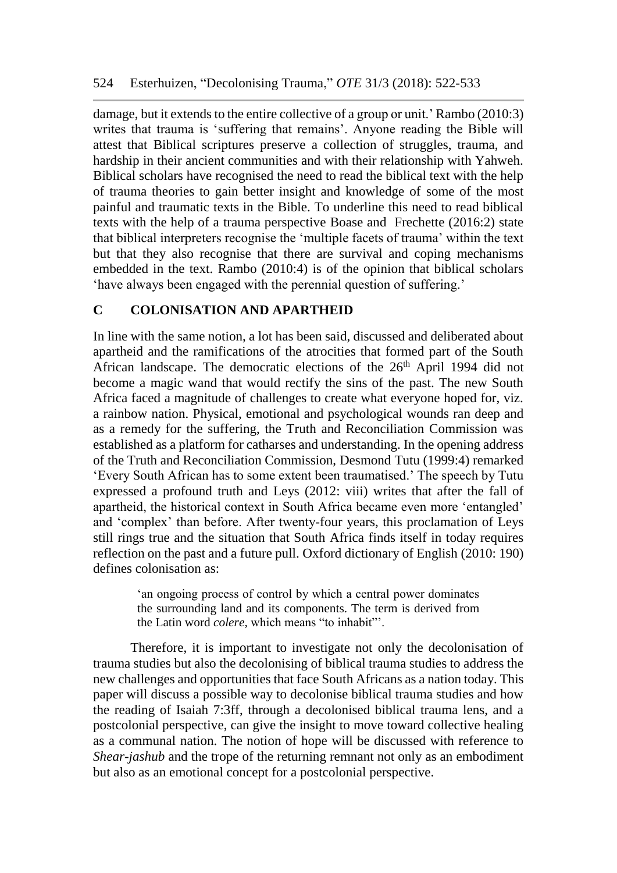damage, but it extends to the entire collective of a group or unit.' Rambo (2010:3) writes that trauma is 'suffering that remains'. Anyone reading the Bible will attest that Biblical scriptures preserve a collection of struggles, trauma, and hardship in their ancient communities and with their relationship with Yahweh. Biblical scholars have recognised the need to read the biblical text with the help of trauma theories to gain better insight and knowledge of some of the most painful and traumatic texts in the Bible. To underline this need to read biblical texts with the help of a trauma perspective Boase and Frechette (2016:2) state that biblical interpreters recognise the 'multiple facets of trauma' within the text but that they also recognise that there are survival and coping mechanisms embedded in the text. Rambo (2010:4) is of the opinion that biblical scholars 'have always been engaged with the perennial question of suffering.'

## **C COLONISATION AND APARTHEID**

In line with the same notion, a lot has been said, discussed and deliberated about apartheid and the ramifications of the atrocities that formed part of the South African landscape. The democratic elections of the 26<sup>th</sup> April 1994 did not become a magic wand that would rectify the sins of the past. The new South Africa faced a magnitude of challenges to create what everyone hoped for, viz. a rainbow nation. Physical, emotional and psychological wounds ran deep and as a remedy for the suffering, the Truth and Reconciliation Commission was established as a platform for catharses and understanding. In the opening address of the Truth and Reconciliation Commission, Desmond Tutu (1999:4) remarked 'Every South African has to some extent been traumatised.' The speech by Tutu expressed a profound truth and Leys (2012: viii) writes that after the fall of apartheid, the historical context in South Africa became even more 'entangled' and 'complex' than before. After twenty-four years, this proclamation of Leys still rings true and the situation that South Africa finds itself in today requires reflection on the past and a future pull. Oxford dictionary of English (2010: 190) defines colonisation as:

> 'an ongoing process of control by which a central power dominates the surrounding land and its components. The term is derived from the Latin word *colere,* which means "to inhabit"'.

Therefore, it is important to investigate not only the decolonisation of trauma studies but also the decolonising of biblical trauma studies to address the new challenges and opportunities that face South Africans as a nation today. This paper will discuss a possible way to decolonise biblical trauma studies and how the reading of Isaiah 7:3ff, through a decolonised biblical trauma lens, and a postcolonial perspective, can give the insight to move toward collective healing as a communal nation. The notion of hope will be discussed with reference to *Shear-jashub* and the trope of the returning remnant not only as an embodiment but also as an emotional concept for a postcolonial perspective.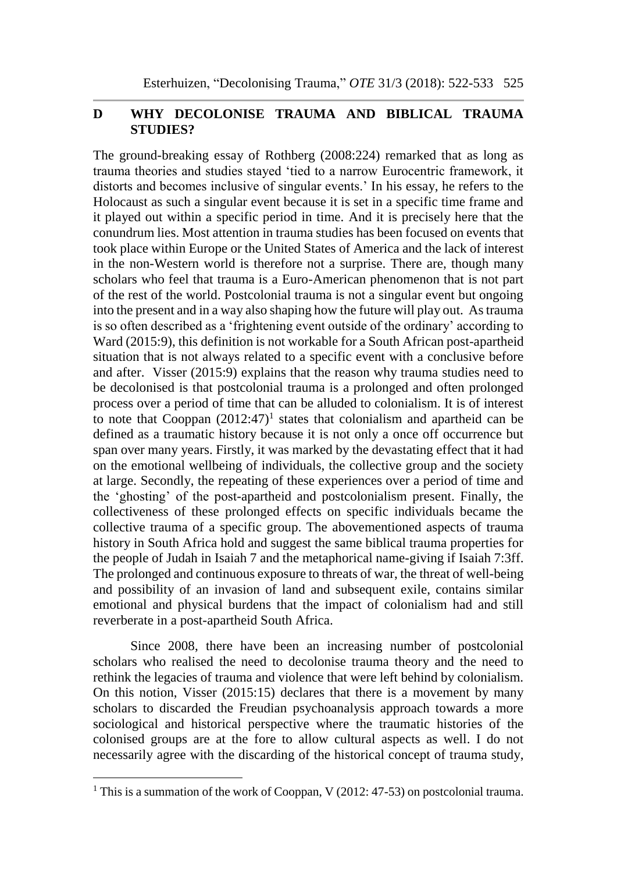# **D WHY DECOLONISE TRAUMA AND BIBLICAL TRAUMA STUDIES?**

The ground-breaking essay of Rothberg (2008:224) remarked that as long as trauma theories and studies stayed 'tied to a narrow Eurocentric framework, it distorts and becomes inclusive of singular events.' In his essay, he refers to the Holocaust as such a singular event because it is set in a specific time frame and it played out within a specific period in time. And it is precisely here that the conundrum lies. Most attention in trauma studies has been focused on events that took place within Europe or the United States of America and the lack of interest in the non-Western world is therefore not a surprise. There are, though many scholars who feel that trauma is a Euro-American phenomenon that is not part of the rest of the world. Postcolonial trauma is not a singular event but ongoing into the present and in a way also shaping how the future will play out. As trauma is so often described as a 'frightening event outside of the ordinary' according to Ward (2015:9), this definition is not workable for a South African post-apartheid situation that is not always related to a specific event with a conclusive before and after. Visser (2015:9) explains that the reason why trauma studies need to be decolonised is that postcolonial trauma is a prolonged and often prolonged process over a period of time that can be alluded to colonialism. It is of interest to note that Cooppan  $(2012:47)^1$  states that colonialism and apartheid can be defined as a traumatic history because it is not only a once off occurrence but span over many years. Firstly, it was marked by the devastating effect that it had on the emotional wellbeing of individuals, the collective group and the society at large. Secondly, the repeating of these experiences over a period of time and the 'ghosting' of the post-apartheid and postcolonialism present. Finally, the collectiveness of these prolonged effects on specific individuals became the collective trauma of a specific group. The abovementioned aspects of trauma history in South Africa hold and suggest the same biblical trauma properties for the people of Judah in Isaiah 7 and the metaphorical name-giving if Isaiah 7:3ff. The prolonged and continuous exposure to threats of war, the threat of well-being and possibility of an invasion of land and subsequent exile, contains similar emotional and physical burdens that the impact of colonialism had and still reverberate in a post-apartheid South Africa.

Since 2008, there have been an increasing number of postcolonial scholars who realised the need to decolonise trauma theory and the need to rethink the legacies of trauma and violence that were left behind by colonialism. On this notion, Visser (2015:15) declares that there is a movement by many scholars to discarded the Freudian psychoanalysis approach towards a more sociological and historical perspective where the traumatic histories of the colonised groups are at the fore to allow cultural aspects as well. I do not necessarily agree with the discarding of the historical concept of trauma study,

l

<sup>&</sup>lt;sup>1</sup> This is a summation of the work of Cooppan, V (2012: 47-53) on postcolonial trauma.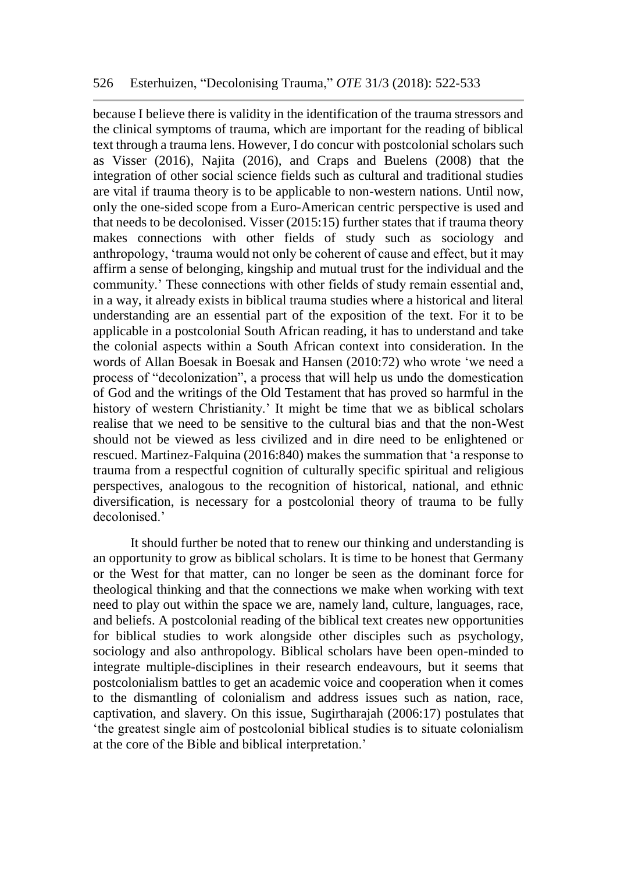because I believe there is validity in the identification of the trauma stressors and the clinical symptoms of trauma, which are important for the reading of biblical text through a trauma lens. However, I do concur with postcolonial scholars such as Visser (2016), Najita (2016), and Craps and Buelens (2008) that the integration of other social science fields such as cultural and traditional studies are vital if trauma theory is to be applicable to non-western nations. Until now, only the one-sided scope from a Euro-American centric perspective is used and that needs to be decolonised. Visser (2015:15) further states that if trauma theory makes connections with other fields of study such as sociology and anthropology, 'trauma would not only be coherent of cause and effect, but it may affirm a sense of belonging, kingship and mutual trust for the individual and the community.' These connections with other fields of study remain essential and, in a way, it already exists in biblical trauma studies where a historical and literal understanding are an essential part of the exposition of the text. For it to be applicable in a postcolonial South African reading, it has to understand and take the colonial aspects within a South African context into consideration. In the words of Allan Boesak in Boesak and Hansen (2010:72) who wrote 'we need a process of "decolonization", a process that will help us undo the domestication of God and the writings of the Old Testament that has proved so harmful in the history of western Christianity.' It might be time that we as biblical scholars realise that we need to be sensitive to the cultural bias and that the non-West should not be viewed as less civilized and in dire need to be enlightened or rescued. Martinez-Falquina (2016:840) makes the summation that 'a response to trauma from a respectful cognition of culturally specific spiritual and religious perspectives, analogous to the recognition of historical, national, and ethnic diversification, is necessary for a postcolonial theory of trauma to be fully decolonised.'

It should further be noted that to renew our thinking and understanding is an opportunity to grow as biblical scholars. It is time to be honest that Germany or the West for that matter, can no longer be seen as the dominant force for theological thinking and that the connections we make when working with text need to play out within the space we are, namely land, culture, languages, race, and beliefs. A postcolonial reading of the biblical text creates new opportunities for biblical studies to work alongside other disciples such as psychology, sociology and also anthropology. Biblical scholars have been open-minded to integrate multiple-disciplines in their research endeavours, but it seems that postcolonialism battles to get an academic voice and cooperation when it comes to the dismantling of colonialism and address issues such as nation, race, captivation, and slavery. On this issue, Sugirtharajah (2006:17) postulates that 'the greatest single aim of postcolonial biblical studies is to situate colonialism at the core of the Bible and biblical interpretation.'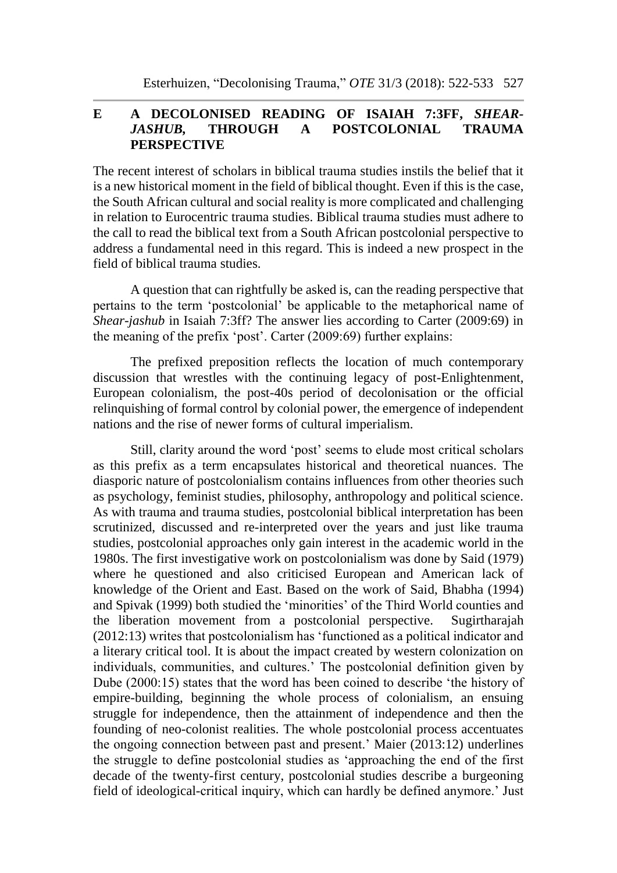# **E A DECOLONISED READING OF ISAIAH 7:3FF,** *SHEAR-JASHUB,* **THROUGH A POSTCOLONIAL TRAUMA PERSPECTIVE**

The recent interest of scholars in biblical trauma studies instils the belief that it is a new historical moment in the field of biblical thought. Even if this is the case, the South African cultural and social reality is more complicated and challenging in relation to Eurocentric trauma studies. Biblical trauma studies must adhere to the call to read the biblical text from a South African postcolonial perspective to address a fundamental need in this regard. This is indeed a new prospect in the field of biblical trauma studies.

A question that can rightfully be asked is, can the reading perspective that pertains to the term 'postcolonial' be applicable to the metaphorical name of *Shear-jashub* in Isaiah 7:3ff? The answer lies according to Carter (2009:69) in the meaning of the prefix 'post'. Carter (2009:69) further explains:

The prefixed preposition reflects the location of much contemporary discussion that wrestles with the continuing legacy of post-Enlightenment, European colonialism, the post-40s period of decolonisation or the official relinquishing of formal control by colonial power, the emergence of independent nations and the rise of newer forms of cultural imperialism.

Still, clarity around the word 'post' seems to elude most critical scholars as this prefix as a term encapsulates historical and theoretical nuances. The diasporic nature of postcolonialism contains influences from other theories such as psychology, feminist studies, philosophy, anthropology and political science. As with trauma and trauma studies, postcolonial biblical interpretation has been scrutinized, discussed and re-interpreted over the years and just like trauma studies, postcolonial approaches only gain interest in the academic world in the 1980s. The first investigative work on postcolonialism was done by Said (1979) where he questioned and also criticised European and American lack of knowledge of the Orient and East. Based on the work of Said, Bhabha (1994) and Spivak (1999) both studied the 'minorities' of the Third World counties and the liberation movement from a postcolonial perspective. Sugirtharajah (2012:13) writes that postcolonialism has 'functioned as a political indicator and a literary critical tool. It is about the impact created by western colonization on individuals, communities, and cultures.' The postcolonial definition given by Dube (2000:15) states that the word has been coined to describe 'the history of empire-building, beginning the whole process of colonialism, an ensuing struggle for independence, then the attainment of independence and then the founding of neo-colonist realities. The whole postcolonial process accentuates the ongoing connection between past and present.' Maier (2013:12) underlines the struggle to define postcolonial studies as 'approaching the end of the first decade of the twenty-first century, postcolonial studies describe a burgeoning field of ideological-critical inquiry, which can hardly be defined anymore.' Just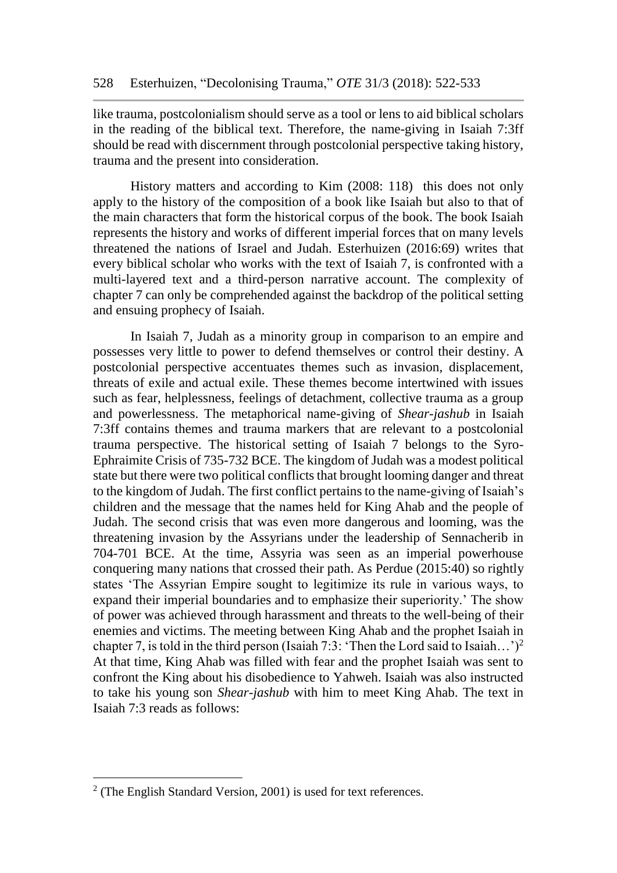like trauma, postcolonialism should serve as a tool or lens to aid biblical scholars in the reading of the biblical text. Therefore, the name-giving in Isaiah 7:3ff should be read with discernment through postcolonial perspective taking history, trauma and the present into consideration.

History matters and according to Kim (2008: 118) this does not only apply to the history of the composition of a book like Isaiah but also to that of the main characters that form the historical corpus of the book. The book Isaiah represents the history and works of different imperial forces that on many levels threatened the nations of Israel and Judah. Esterhuizen (2016:69) writes that every biblical scholar who works with the text of Isaiah 7, is confronted with a multi-layered text and a third-person narrative account. The complexity of chapter 7 can only be comprehended against the backdrop of the political setting and ensuing prophecy of Isaiah.

In Isaiah 7, Judah as a minority group in comparison to an empire and possesses very little to power to defend themselves or control their destiny. A postcolonial perspective accentuates themes such as invasion, displacement, threats of exile and actual exile. These themes become intertwined with issues such as fear, helplessness, feelings of detachment, collective trauma as a group and powerlessness. The metaphorical name-giving of *Shear-jashub* in Isaiah 7:3ff contains themes and trauma markers that are relevant to a postcolonial trauma perspective. The historical setting of Isaiah 7 belongs to the Syro-Ephraimite Crisis of 735-732 BCE. The kingdom of Judah was a modest political state but there were two political conflicts that brought looming danger and threat to the kingdom of Judah. The first conflict pertains to the name-giving of Isaiah's children and the message that the names held for King Ahab and the people of Judah. The second crisis that was even more dangerous and looming, was the threatening invasion by the Assyrians under the leadership of Sennacherib in 704-701 BCE. At the time, Assyria was seen as an imperial powerhouse conquering many nations that crossed their path. As Perdue (2015:40) so rightly states 'The Assyrian Empire sought to legitimize its rule in various ways, to expand their imperial boundaries and to emphasize their superiority.' The show of power was achieved through harassment and threats to the well-being of their enemies and victims. The meeting between King Ahab and the prophet Isaiah in chapter 7, is told in the third person (Isaiah 7:3: 'Then the Lord said to Isaiah...')<sup>2</sup> At that time, King Ahab was filled with fear and the prophet Isaiah was sent to confront the King about his disobedience to Yahweh. Isaiah was also instructed to take his young son *Shear-jashub* with him to meet King Ahab. The text in Isaiah 7:3 reads as follows:

l

 $2$  (The English Standard Version, 2001) is used for text references.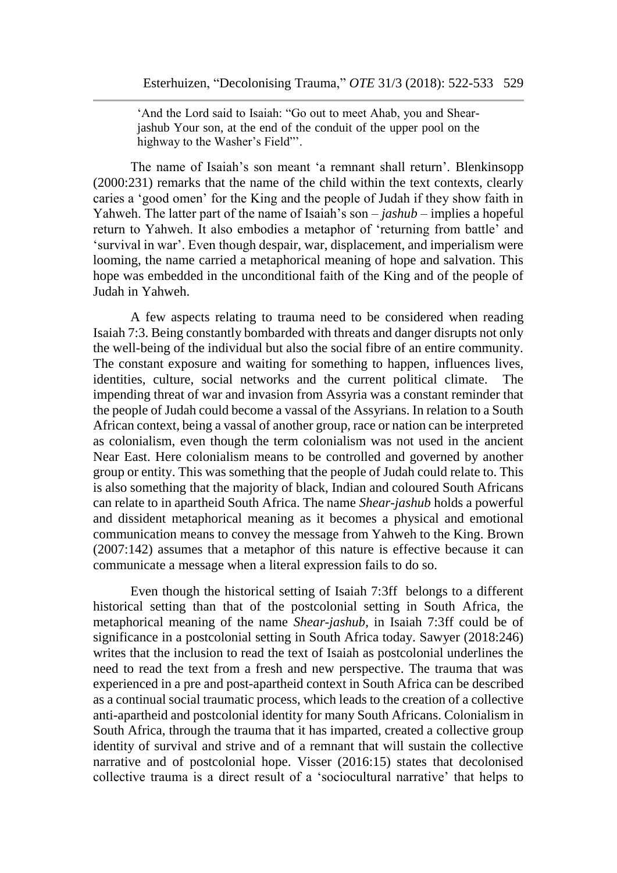'And the Lord said to Isaiah: "Go out to meet Ahab, you and Shearjashub Your son, at the end of the conduit of the upper pool on the highway to the Washer's Field"'.

The name of Isaiah's son meant 'a remnant shall return'. Blenkinsopp (2000:231) remarks that the name of the child within the text contexts, clearly caries a 'good omen' for the King and the people of Judah if they show faith in Yahweh. The latter part of the name of Isaiah's son – *jashub* – implies a hopeful return to Yahweh. It also embodies a metaphor of 'returning from battle' and 'survival in war'. Even though despair, war, displacement, and imperialism were looming, the name carried a metaphorical meaning of hope and salvation. This hope was embedded in the unconditional faith of the King and of the people of Judah in Yahweh.

A few aspects relating to trauma need to be considered when reading Isaiah 7:3. Being constantly bombarded with threats and danger disrupts not only the well-being of the individual but also the social fibre of an entire community. The constant exposure and waiting for something to happen, influences lives, identities, culture, social networks and the current political climate. The impending threat of war and invasion from Assyria was a constant reminder that the people of Judah could become a vassal of the Assyrians. In relation to a South African context, being a vassal of another group, race or nation can be interpreted as colonialism, even though the term colonialism was not used in the ancient Near East. Here colonialism means to be controlled and governed by another group or entity. This was something that the people of Judah could relate to. This is also something that the majority of black, Indian and coloured South Africans can relate to in apartheid South Africa. The name *Shear-jashub* holds a powerful and dissident metaphorical meaning as it becomes a physical and emotional communication means to convey the message from Yahweh to the King. Brown (2007:142) assumes that a metaphor of this nature is effective because it can communicate a message when a literal expression fails to do so.

Even though the historical setting of Isaiah 7:3ff belongs to a different historical setting than that of the postcolonial setting in South Africa, the metaphorical meaning of the name *Shear-jashub*, in Isaiah 7:3ff could be of significance in a postcolonial setting in South Africa today. Sawyer (2018:246) writes that the inclusion to read the text of Isaiah as postcolonial underlines the need to read the text from a fresh and new perspective. The trauma that was experienced in a pre and post-apartheid context in South Africa can be described as a continual social traumatic process, which leads to the creation of a collective anti-apartheid and postcolonial identity for many South Africans. Colonialism in South Africa, through the trauma that it has imparted, created a collective group identity of survival and strive and of a remnant that will sustain the collective narrative and of postcolonial hope. Visser (2016:15) states that decolonised collective trauma is a direct result of a 'sociocultural narrative' that helps to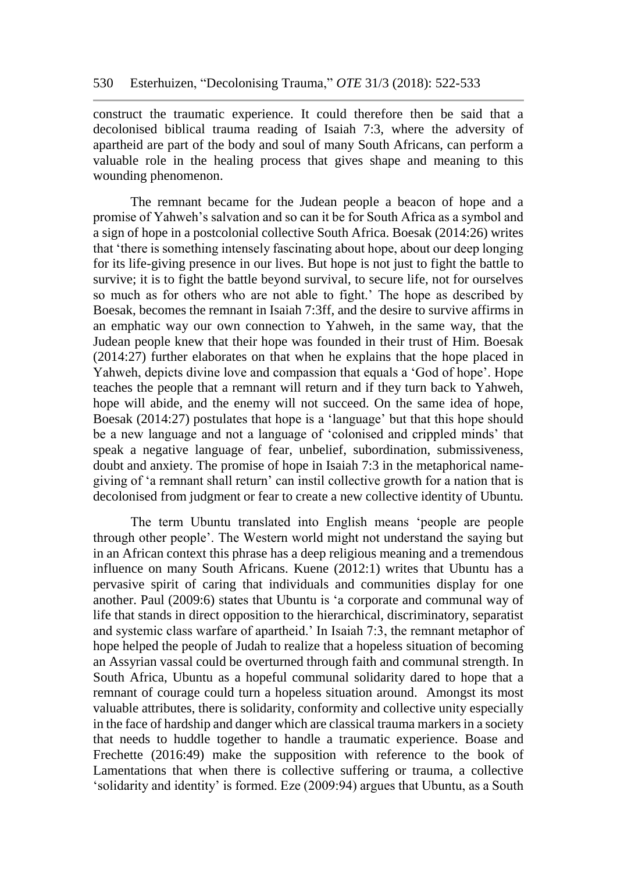construct the traumatic experience. It could therefore then be said that a decolonised biblical trauma reading of Isaiah 7:3, where the adversity of apartheid are part of the body and soul of many South Africans, can perform a valuable role in the healing process that gives shape and meaning to this wounding phenomenon.

The remnant became for the Judean people a beacon of hope and a promise of Yahweh's salvation and so can it be for South Africa as a symbol and a sign of hope in a postcolonial collective South Africa. Boesak (2014:26) writes that 'there is something intensely fascinating about hope, about our deep longing for its life-giving presence in our lives. But hope is not just to fight the battle to survive; it is to fight the battle beyond survival, to secure life, not for ourselves so much as for others who are not able to fight.' The hope as described by Boesak, becomes the remnant in Isaiah 7:3ff, and the desire to survive affirms in an emphatic way our own connection to Yahweh, in the same way, that the Judean people knew that their hope was founded in their trust of Him. Boesak (2014:27) further elaborates on that when he explains that the hope placed in Yahweh, depicts divine love and compassion that equals a 'God of hope'. Hope teaches the people that a remnant will return and if they turn back to Yahweh, hope will abide, and the enemy will not succeed. On the same idea of hope, Boesak (2014:27) postulates that hope is a 'language' but that this hope should be a new language and not a language of 'colonised and crippled minds' that speak a negative language of fear, unbelief, subordination, submissiveness, doubt and anxiety. The promise of hope in Isaiah 7:3 in the metaphorical namegiving of 'a remnant shall return' can instil collective growth for a nation that is decolonised from judgment or fear to create a new collective identity of Ubuntu*.* 

The term Ubuntu translated into English means 'people are people through other people'. The Western world might not understand the saying but in an African context this phrase has a deep religious meaning and a tremendous influence on many South Africans. Kuene (2012:1) writes that Ubuntu has a pervasive spirit of caring that individuals and communities display for one another. Paul (2009:6) states that Ubuntu is 'a corporate and communal way of life that stands in direct opposition to the hierarchical, discriminatory, separatist and systemic class warfare of apartheid.' In Isaiah 7:3, the remnant metaphor of hope helped the people of Judah to realize that a hopeless situation of becoming an Assyrian vassal could be overturned through faith and communal strength. In South Africa, Ubuntu as a hopeful communal solidarity dared to hope that a remnant of courage could turn a hopeless situation around. Amongst its most valuable attributes, there is solidarity, conformity and collective unity especially in the face of hardship and danger which are classical trauma markers in a society that needs to huddle together to handle a traumatic experience. Boase and Frechette (2016:49) make the supposition with reference to the book of Lamentations that when there is collective suffering or trauma, a collective 'solidarity and identity' is formed. Eze (2009:94) argues that Ubuntu, as a South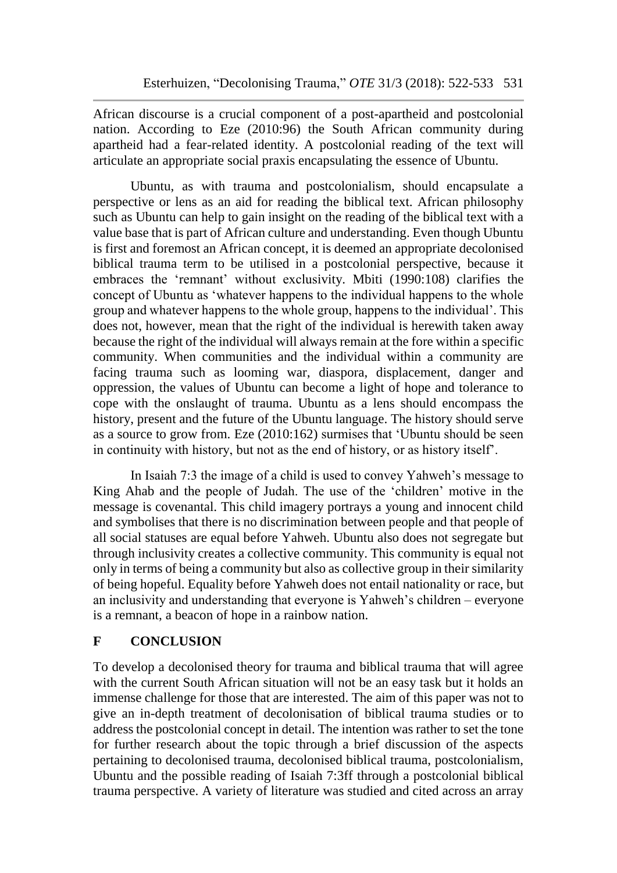African discourse is a crucial component of a post-apartheid and postcolonial nation. According to Eze (2010:96) the South African community during apartheid had a fear-related identity. A postcolonial reading of the text will articulate an appropriate social praxis encapsulating the essence of Ubuntu.

Ubuntu, as with trauma and postcolonialism, should encapsulate a perspective or lens as an aid for reading the biblical text. African philosophy such as Ubuntu can help to gain insight on the reading of the biblical text with a value base that is part of African culture and understanding. Even though Ubuntu is first and foremost an African concept, it is deemed an appropriate decolonised biblical trauma term to be utilised in a postcolonial perspective, because it embraces the 'remnant' without exclusivity. Mbiti (1990:108) clarifies the concept of Ubuntu as 'whatever happens to the individual happens to the whole group and whatever happens to the whole group, happens to the individual'. This does not, however, mean that the right of the individual is herewith taken away because the right of the individual will always remain at the fore within a specific community. When communities and the individual within a community are facing trauma such as looming war, diaspora, displacement, danger and oppression, the values of Ubuntu can become a light of hope and tolerance to cope with the onslaught of trauma. Ubuntu as a lens should encompass the history, present and the future of the Ubuntu language. The history should serve as a source to grow from. Eze (2010:162) surmises that 'Ubuntu should be seen in continuity with history, but not as the end of history, or as history itself'.

In Isaiah 7:3 the image of a child is used to convey Yahweh's message to King Ahab and the people of Judah. The use of the 'children' motive in the message is covenantal. This child imagery portrays a young and innocent child and symbolises that there is no discrimination between people and that people of all social statuses are equal before Yahweh. Ubuntu also does not segregate but through inclusivity creates a collective community. This community is equal not only in terms of being a community but also as collective group in their similarity of being hopeful. Equality before Yahweh does not entail nationality or race, but an inclusivity and understanding that everyone is Yahweh's children – everyone is a remnant, a beacon of hope in a rainbow nation.

# **F CONCLUSION**

To develop a decolonised theory for trauma and biblical trauma that will agree with the current South African situation will not be an easy task but it holds an immense challenge for those that are interested. The aim of this paper was not to give an in-depth treatment of decolonisation of biblical trauma studies or to address the postcolonial concept in detail. The intention was rather to set the tone for further research about the topic through a brief discussion of the aspects pertaining to decolonised trauma, decolonised biblical trauma, postcolonialism, Ubuntu and the possible reading of Isaiah 7:3ff through a postcolonial biblical trauma perspective. A variety of literature was studied and cited across an array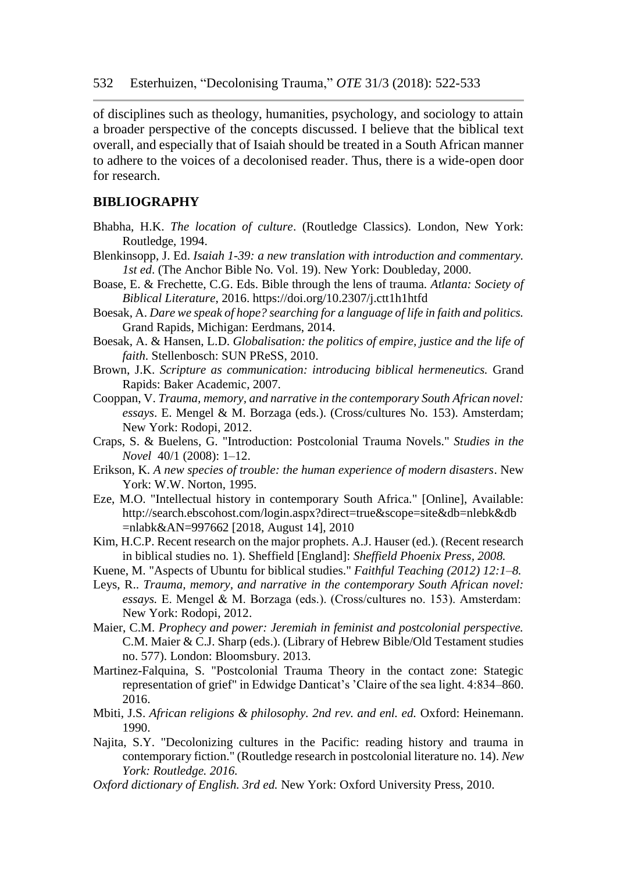of disciplines such as theology, humanities, psychology, and sociology to attain a broader perspective of the concepts discussed. I believe that the biblical text overall, and especially that of Isaiah should be treated in a South African manner to adhere to the voices of a decolonised reader. Thus, there is a wide-open door for research.

#### **BIBLIOGRAPHY**

- Bhabha, H.K. *The location of culture*. (Routledge Classics). London, New York: Routledge, 1994.
- Blenkinsopp, J. Ed. *Isaiah 1-39: a new translation with introduction and commentary. 1st ed*. (The Anchor Bible No. Vol. 19). New York: Doubleday, 2000.
- Boase, E. & Frechette, C.G. Eds. Bible through the lens of trauma*. Atlanta: Society of Biblical Literature*, 2016. <https://doi.org/10.2307/j.ctt1h1htfd>
- Boesak, A. *Dare we speak of hope? searching for a language of life in faith and politics.* Grand Rapids, Michigan: Eerdmans, 2014.
- Boesak, A. & Hansen, L.D. *Globalisation: the politics of empire, justice and the life of faith*. Stellenbosch: SUN PReSS, 2010.
- Brown, J.K. *Scripture as communication: introducing biblical hermeneutics.* Grand Rapids: Baker Academic, 2007.
- Cooppan, V. *Trauma, memory, and narrative in the contemporary South African novel: essays*. E. Mengel & M. Borzaga (eds.). (Cross/cultures No. 153). Amsterdam; New York: Rodopi, 2012.
- Craps, S. & Buelens, G. "Introduction: Postcolonial Trauma Novels." *Studies in the Novel* 40/1 (2008): 1–12.
- Erikson, K. *A new species of trouble: the human experience of modern disasters*. New York: W.W. Norton, 1995.
- Eze, M.O. "Intellectual history in contemporary South Africa." [Online], Available: http://search.ebscohost.com/login.aspx?direct=true&scope=site&db=nlebk&db =nlabk&AN=997662 [2018, August 14], 2010
- Kim, H.C.P. Recent research on the major prophets. A.J. Hauser (ed.). (Recent research in biblical studies no. 1). Sheffield [England]: *Sheffield Phoenix Press, 2008.*
- Kuene, M. "Aspects of Ubuntu for biblical studies." *Faithful Teaching (2012) 12:1–8.*
- Leys, R.. *Trauma, memory, and narrative in the contemporary South African novel: essays.* E. Mengel & M. Borzaga (eds.). (Cross/cultures no. 153). Amsterdam:  New York: Rodopi, 2012.
- Maier, C.M. *Prophecy and power: Jeremiah in feminist and postcolonial perspective.* C.M. Maier & C.J. Sharp (eds.). (Library of Hebrew Bible/Old Testament studies no. 577). London: Bloomsbury. 2013.
- Martinez-Falquina, S. "Postcolonial Trauma Theory in the contact zone: Stategic representation of grief" in Edwidge Danticat's 'Claire of the sea light. 4:834–860. 2016.
- Mbiti, J.S. *African religions & philosophy. 2nd rev. and enl. ed.* Oxford: Heinemann. 1990.
- Najita, S.Y. "Decolonizing cultures in the Pacific: reading history and trauma in contemporary fiction." (Routledge research in postcolonial literature no. 14). *New York: Routledge. 2016.*
- *Oxford dictionary of English. 3rd ed.* New York: Oxford University Press, 2010.